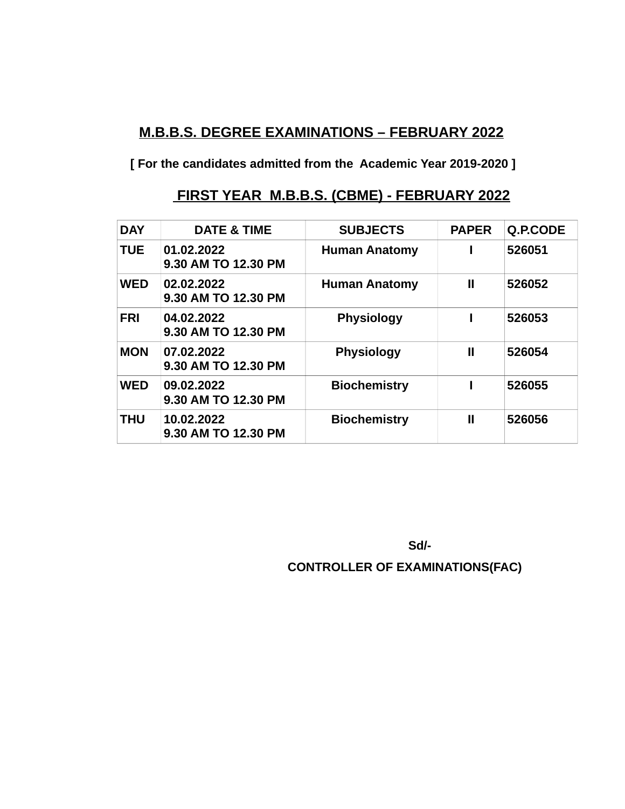# **M.B.B.S. DEGREE EXAMINATIONS – FEBRUARY 2022**

**[ For the candidates admitted from the Academic Year 2019-2020 ]**

#### **FIRST YEAR M.B.B.S. (CBME) - FEBRUARY 2022**

| <b>DAY</b> | <b>DATE &amp; TIME</b>            | <b>SUBJECTS</b>      | <b>PAPER</b> | Q.P.CODE |
|------------|-----------------------------------|----------------------|--------------|----------|
| <b>TUE</b> | 01.02.2022<br>9.30 AM TO 12.30 PM | <b>Human Anatomy</b> |              | 526051   |
| <b>WED</b> | 02.02.2022<br>9.30 AM TO 12.30 PM | <b>Human Anatomy</b> | Ш            | 526052   |
| <b>FRI</b> | 04.02.2022<br>9.30 AM TO 12.30 PM | <b>Physiology</b>    |              | 526053   |
| <b>MON</b> | 07.02.2022<br>9.30 AM TO 12.30 PM | <b>Physiology</b>    | Ш            | 526054   |
| <b>WED</b> | 09.02.2022<br>9.30 AM TO 12.30 PM | <b>Biochemistry</b>  |              | 526055   |
| <b>THU</b> | 10.02.2022<br>9.30 AM TO 12.30 PM | <b>Biochemistry</b>  | $\mathbf{I}$ | 526056   |

 **Sd/-** 

 **CONTROLLER OF EXAMINATIONS(FAC)**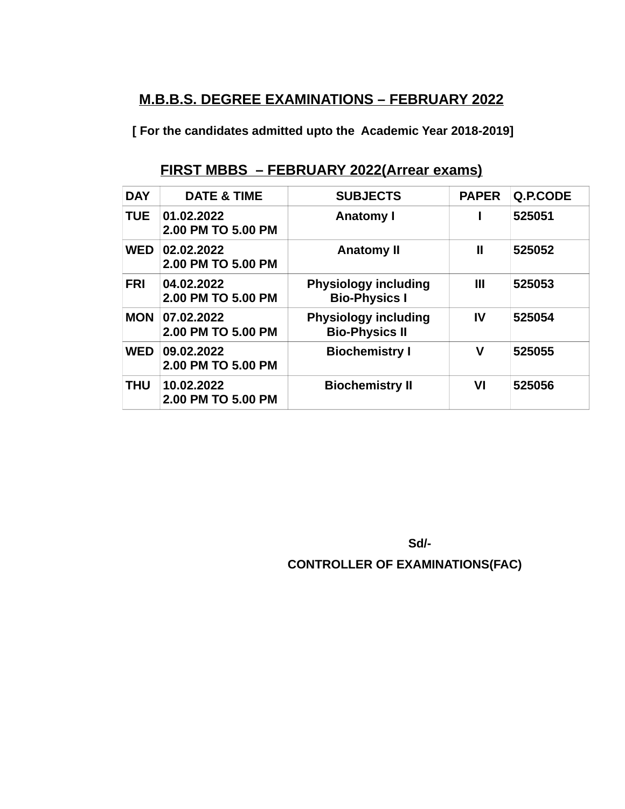#### **M.B.B.S. DEGREE EXAMINATIONS – FEBRUARY 2022**

**[ For the candidates admitted upto the Academic Year 2018-2019]**

# **FIRST MBBS – FEBRUARY 2022(Arrear exams)**

| <b>DAY</b> | <b>DATE &amp; TIME</b>           | <b>SUBJECTS</b>                                      | <b>PAPER</b> | <b>Q.P.CODE</b> |
|------------|----------------------------------|------------------------------------------------------|--------------|-----------------|
| <b>TUE</b> | 01.02.2022<br>2.00 PM TO 5.00 PM | <b>Anatomy I</b>                                     |              | 525051          |
| <b>WED</b> | 02.02.2022<br>2.00 PM TO 5.00 PM | <b>Anatomy II</b>                                    | Ш            | 525052          |
| <b>FRI</b> | 04.02.2022<br>2.00 PM TO 5.00 PM | <b>Physiology including</b><br><b>Bio-Physics I</b>  | Ш            | 525053          |
| <b>MON</b> | 07.02.2022<br>2.00 PM TO 5.00 PM | <b>Physiology including</b><br><b>Bio-Physics II</b> | IV           | 525054          |
| <b>WED</b> | 09.02.2022<br>2.00 PM TO 5.00 PM | <b>Biochemistry I</b>                                | v            | 525055          |
| <b>THU</b> | 10.02.2022<br>2.00 PM TO 5.00 PM | <b>Biochemistry II</b>                               | VI           | 525056          |

 **Sd/-** 

 **CONTROLLER OF EXAMINATIONS(FAC)**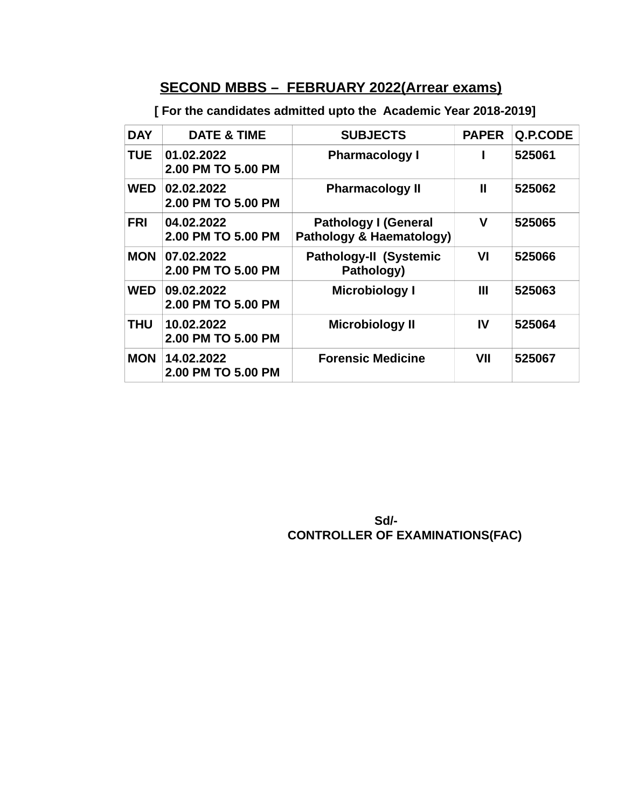# **SECOND MBBS – FEBRUARY 2022(Arrear exams)**

 **[ For the candidates admitted upto the Academic Year 2018-2019]**

| <b>DAY</b> | <b>DATE &amp; TIME</b>           | <b>SUBJECTS</b>                                         | <b>PAPER</b> | Q.P.CODE |
|------------|----------------------------------|---------------------------------------------------------|--------------|----------|
| <b>TUE</b> | 01.02.2022<br>2.00 PM TO 5.00 PM | <b>Pharmacology I</b>                                   |              | 525061   |
| <b>WED</b> | 02.02.2022<br>2.00 PM TO 5.00 PM | <b>Pharmacology II</b>                                  | Ш            | 525062   |
| <b>FRI</b> | 04.02.2022<br>2.00 PM TO 5.00 PM | <b>Pathology I (General</b><br>Pathology & Haematology) | V            | 525065   |
| <b>MON</b> | 07.02.2022<br>2.00 PM TO 5.00 PM | <b>Pathology-II (Systemic</b><br>Pathology)             | VI           | 525066   |
| <b>WED</b> | 09.02.2022<br>2.00 PM TO 5.00 PM | <b>Microbiology I</b>                                   | Ш            | 525063   |
| <b>THU</b> | 10.02.2022<br>2.00 PM TO 5.00 PM | <b>Microbiology II</b>                                  | IV           | 525064   |
| <b>MON</b> | 14.02.2022<br>2.00 PM TO 5.00 PM | <b>Forensic Medicine</b>                                | VII          | 525067   |

#### **Sd/- Sd/- Sd/- Sd/- CONTROLLER OF EXAMINATIONS(FAC)**